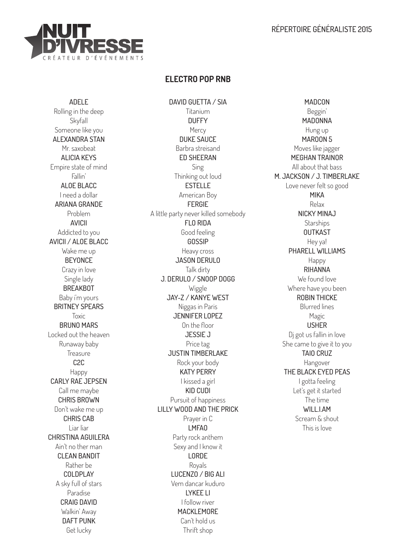## RÉPERTOIRE GÉNÉRALISTE 2015



# **ELECTRO POP RNB**

DAVID GUETTA / SIA

ADELE Rolling in the deep Skyfall Someone like you ALEXANDRA STAN Mr. saxobeat ALICIA KEYS Empire state of mind Fallin' ALOE BLACC I need a dollar ARIANA GRANDE Problem AVICII Addicted to you AVICII / ALOE BLACC Wake me up **BEYONCE** Crazy in love Single lady BREAKBOT Baby i'm yours BRITNEY SPEARS Toxic **BRUNO MARS** Locked out the heaven Runaway baby **Treasure** C2C Happy CARLY RAE JEPSEN Call me maybe CHRIS BROWN Don't wake me up CHRIS CAB Liar liar CHRISTINA AGUILERA Ain't no ther man **CLEAN BANDIT** Rather be COLDPLAY A sky full of stars Paradise CRAIG DAVID Walkin' Away DAFT PUNK Get lucky

Titanium **DUFFY Mercy** DUKE SAUCE Barbra streisand ED SHEERAN Sing Thinking out loud ESTELLE American Boy FERGIE A little party never killed somebody FLO RIDA Good feeling **GOSSIP** Heavy cross JASON DERULO Talk dirty J. DERULO / SNOOP DOGG Wiggle JAY-Z / KANYE WEST Niggas in Paris JENNIFER LOPEZ On the floor JESSIE J Price tag JUSTIN TIMBERLAKE Rock your body KATY PERRY I kissed a girl KID CUDI Pursuit of happiness LILLY WOOD AND THE PRICK Prayer in C LMFAO Party rock anthem Sexy and I know it LORDE Royals LUCENZO / BIG ALI Vem dancar kuduro LYKEE LI I follow river MACKLEMORE Can't hold us Thrift shop

MADCON Beggin' MADONNA Hung up MAROON 5 Moves like jagger MEGHAN TRAINOR All about that bass M. JACKSON / J. TIMBERLAKE Love never felt so good MIKA Relax NICKY MINAJ **Starships OUTKAST** Hey ya! PHARELL WILLIAMS Happy RIHANNA We found love Where have you been ROBIN THICKE Blurred lines Magic USHER Dj got us fallin in love She came to give it to you TAIO CRUZ Hangover THE BLACK EYED PEAS I gotta feeling Let's get it started The time WILL LAM Scream & shout This is love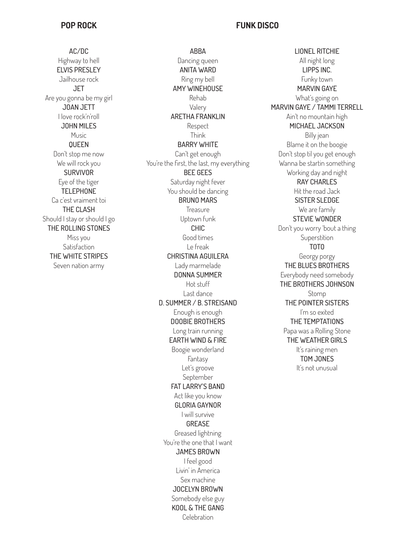## **POP ROCK**

AC/DC Highway to hell ELVIS PRESLEY Jailhouse rock **JET** Are you gonna be my girl JOAN JETT I love rock'n'roll JOHN MILES Music QUEEN Don't stop me now We will rock you **SURVIVOR** Eye of the tiger **TELEPHONE** Ca c'est vraiment toi THE CLASH Should I stay or should I go THE ROLLING STONES Miss you Satisfaction THE WHITE STRIPES Seven nation army

ABBA Dancing queen ANITA WARD Ring my bell AMY WINEHOUSE Rehab Valery ARETHA FRANKLIN Respect Think BARRY WHITE Can't get enough You're the first, the last, my everything BEE GEES Saturday night fever You should be dancing BRUNO MARS Treasure Uptown funk CHIC Good times Le freak CHRISTINA AGUILERA Lady marmelade DONNA SUMMER Hot stuff Last dance D. SUMMER / B. STREISAND Enough is enough DOOBIE BROTHERS Long train running EARTH WIND & FIRE Boogie wonderland Fantasy Let's groove September FAT LARRY'S BAND Act like you know GLORIA GAYNOR I will survive GREASE Greased lightning You're the one that I want JAMES BROWN I feel good Livin' in America Sex machine JOCELYN BROWN Somebody else guy KOOL & THE GANG Celebration

# **FUNK DISCO**

LIONEL RITCHIE All night long LIPPS INC. Funky town MARVIN GAYE What's going on MARVIN GAYE / TAMMI TERRELL Ain't no mountain high MICHAEL JACKSON Billy jean Blame it on the boogie Don't stop til you get enough Wanna be startin something Working day and night RAY CHARLES Hit the road Jack SISTER SLEDGE We are family STEVIE WONDER Don't you worry 'bout a thing Superstition TOTO Georgy porgy THE BLUES BROTHERS Everybody need somebody THE BROTHERS JOHNSON Stomp THE POINTER SISTERS I'm so exited THE TEMPTATIONS Papa was a Rolling Stone THE WEATHER GIRLS It's raining men TOM JONES It's not unusual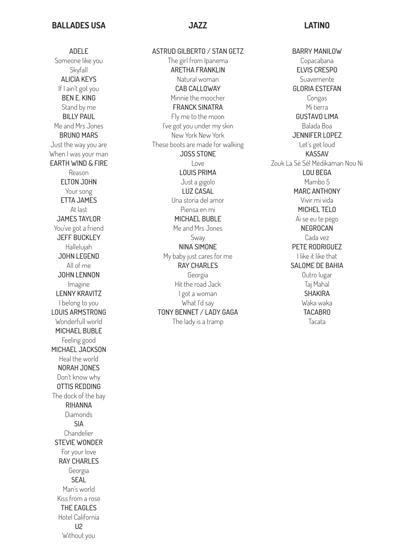### **BALLADES USA**

#### **JAZZ LATINO**

ADELE Someone like you **Skvfall** ALICIA KEYS If I ain't got you BEN E. KING Stand by me BILLY PAUL Me and Mrs Jones BRUNO MARS Just the way you are When I was your man EARTH WIND & FIRE Reason ELTON JOHN Your song ETTA JAMES At last JAMES TAYLOR You've got a friend JEFF BUCKLEY Hallelujah JOHN LEGEND All of me JOHN LENNON Imagine LENNY KRAVITZ I belong to you LOUIS ARMSTRONG Wonderfull world MICHAEL BUBLE Feeling good MICHAEL JACKSON Heal the world NORAH JONES Don't know why OTTIS REDDING The dock of the bay RIHANNA Diamonds SIA Chandelier STEVIE WONDER For your love RAY CHARLES Georgia SEAL Man's world Kiss from a rose THE EAGLES Hotel California U2 Without you

ASTRUD GILBERTO / STAN GETZ The girl from Ipanema ARETHA FRANKLIN Natural woman CAB CALLOWAY Minnie the moocher FRANCK SINATRA Fly me to the moon I've got you under my skin New York New York These boots are made for walking JOSS STONE Love LOUIS PRIMA Just a gigolo LUZ CASAL Una storia del amor Piensa en mi MICHAEL BUBLE Me and Mrs Jones Sway NINA SIMONE My baby just cares for me RAY CHARLES Georgia Hit the road Jack I got a woman What I'd say TONY BENNET / LADY GAGA The lady is a tramp

BARRY MANILOW Copacabana ELVIS CRESPO Suavemente GLORIA ESTEFAN Congas Mi tierra GUSTAVO LIMA Balada Boa JENNIFER LOPEZ Let's get loud KASSAV Zouk La Sé Sél Médikaman Nou Ni LOU BEGA Mambo 5 MARC ANTHONY Vivir mi vida MICHEL TELO Ai se eu te pego NEGROCAN Cada vez PETE RODRIGUEZ I like it like that SALOME DE BAHIA Outro lugar Taj Mahal SHAKIRA Waka waka TACABRO Tacata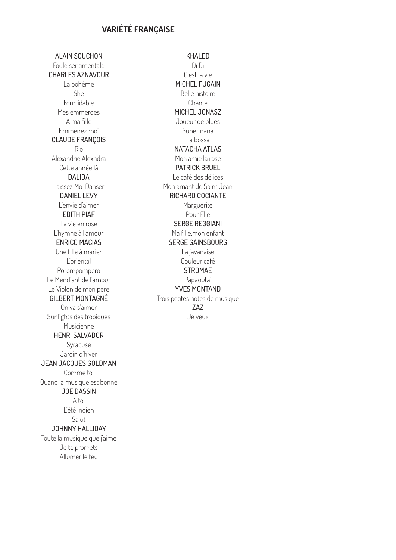# **VARIÉTÉ FRANÇAISE**

ALAIN SOUCHON Foule sentimentale CHARLES AZNAVOUR La bohème She Formidable Mes emmerdes A ma fille Emmenez moi CLAUDE FRANÇOIS Rio Alexandrie Alexndra Cette année là DALIDA Laissez Moi Danser DANIEL LEVY L'envie d'aimer EDITH PIAF La vie en rose L'hymne à l'amour ENRICO MACIAS Une fille à marier L'oriental Porompompero Le Mendiant de l'amour Le Violon de mon père GILBERT MONTAGNÉ On va s'aimer Sunlights des tropiques Musicienne HENRI SALVADOR Syracuse Jardin d'hiver JEAN JACQUES GOLDMAN Comme toi Quand la musique est bonne JOE DASSIN A toi L'été indien Salut JOHNNY HALLIDAY Toute la musique que j'aime Je te promets Allumer le feu

KHAI FD Di Di C'est la vie MICHEL FUGAIN Belle histoire Chante MICHEL JONASZ Joueur de blues Super nana La bossa NATACHA ATLAS Mon amie la rose PATRICK BRUEL Le café des délices Mon amant de Saint Jean RICHARD COCIANTE Marguerite Pour Elle SERGE REGGIANI Ma fille,mon enfant SERGE GAINSBOURG La javanaise Couleur café **STROMAE** Papaoutai YVES MONTAND Trois petites notes de musique ZAZ Je veux